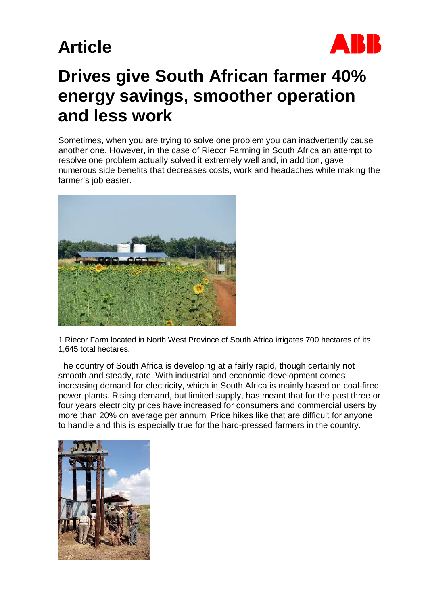

### **Drives give South African farmer 40% energy savings, smoother operation and less work**

Sometimes, when you are trying to solve one problem you can inadvertently cause another one. However, in the case of Riecor Farming in South Africa an attempt to resolve one problem actually solved it extremely well and, in addition, gave numerous side benefits that decreases costs, work and headaches while making the farmer's job easier.



1 Riecor Farm located in North West Province of South Africa irrigates 700 hectares of its 1,645 total hectares.

The country of South Africa is developing at a fairly rapid, though certainly not smooth and steady, rate. With industrial and economic development comes increasing demand for electricity, which in South Africa is mainly based on coal-fired power plants. Rising demand, but limited supply, has meant that for the past three or four years electricity prices have increased for consumers and commercial users by more than 20% on average per annum. Price hikes like that are difficult for anyone to handle and this is especially true for the hard-pressed farmers in the country.

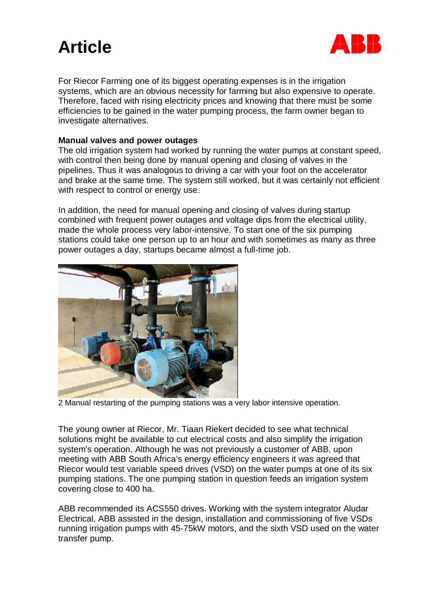

For Riecor Farming one of its biggest operating expenses is in the irrigation systems, which are an obvious necessity for farming but also expensive to operate. Therefore, faced with rising electricity prices and knowing that there must be some efficiencies to be gained in the water pumping process, the farm owner began to investigate alternatives.

### **Manual valves and power outages**

The old irrigation system had worked by running the water pumps at constant speed, with control then being done by manual opening and closing of valves in the pipelines. Thus it was analogous to driving a car with your foot on the accelerator and brake at the same time. The system still worked, but it was certainly not efficient with respect to control or energy use.

In addition, the need for manual opening and closing of valves during startup combined with frequent power outages and voltage dips from the electrical utility, made the whole process very labor-intensive. To start one of the six pumping stations could take one person up to an hour and with sometimes as many as three power outages a day, startups became almost a full-time job.



2 Manual restarting of the pumping stations was a very labor intensive operation.

The young owner at Riecor, Mr. Tiaan Riekert decided to see what technical solutions might be available to cut electrical costs and also simplify the irrigation system's operation. Although he was not previously a customer of ABB, upon meeting with ABB South Africa's energy efficiency engineers it was agreed that Riecor would test variable speed drives (VSD) on the water pumps at one of its six pumping stations. The one pumping station in question feeds an irrigation system covering close to 400 ha.

ABB recommended its ACS550 drives. Working with the system integrator Aludar Electrical, ABB assisted in the design, installation and commissioning of five VSDs running irrigation pumps with 45-75kW motors, and the sixth VSD used on the water transfer pump.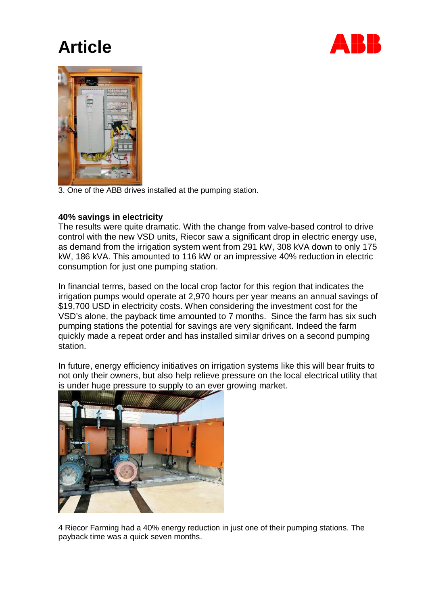



3. One of the ABB drives installed at the pumping station.

### **40% savings in electricity**

The results were quite dramatic. With the change from valve-based control to drive control with the new VSD units, Riecor saw a significant drop in electric energy use, as demand from the irrigation system went from 291 kW, 308 kVA down to only 175 kW, 186 kVA. This amounted to 116 kW or an impressive 40% reduction in electric consumption for just one pumping station.

In financial terms, based on the local crop factor for this region that indicates the irrigation pumps would operate at 2,970 hours per year means an annual savings of \$19,700 USD in electricity costs. When considering the investment cost for the VSD's alone, the payback time amounted to 7 months. Since the farm has six such pumping stations the potential for savings are very significant. Indeed the farm quickly made a repeat order and has installed similar drives on a second pumping station.

In future, energy efficiency initiatives on irrigation systems like this will bear fruits to not only their owners, but also help relieve pressure on the local electrical utility that is under huge pressure to supply to an ever growing market.



4 Riecor Farming had a 40% energy reduction in just one of their pumping stations. The payback time was a quick seven months.